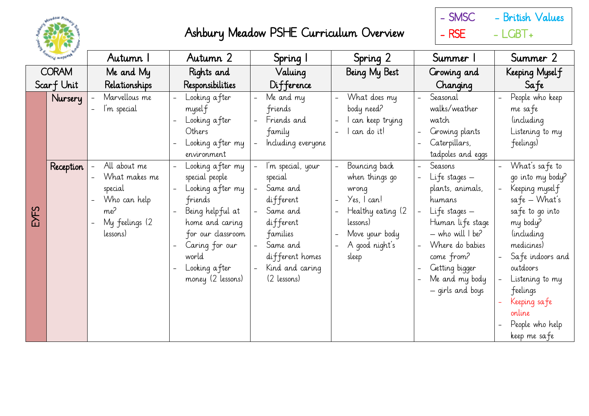



| <b>BIOWING MOPOSVA</b> |                      | Autumn 1                                                                                                                       | Autumn 2                                                                                                                                                                                                                                                                                | Spring I                                                                                                                                                                                                                           | Spring 2                                                                                                                                                                                                            | Summer 1                                                                                                                                                                                                                                                                                               | Summer 2                                                                                                                                                                                                                                                                                                    |
|------------------------|----------------------|--------------------------------------------------------------------------------------------------------------------------------|-----------------------------------------------------------------------------------------------------------------------------------------------------------------------------------------------------------------------------------------------------------------------------------------|------------------------------------------------------------------------------------------------------------------------------------------------------------------------------------------------------------------------------------|---------------------------------------------------------------------------------------------------------------------------------------------------------------------------------------------------------------------|--------------------------------------------------------------------------------------------------------------------------------------------------------------------------------------------------------------------------------------------------------------------------------------------------------|-------------------------------------------------------------------------------------------------------------------------------------------------------------------------------------------------------------------------------------------------------------------------------------------------------------|
| <b>CORAM</b>           |                      | Me and My                                                                                                                      | Rights and                                                                                                                                                                                                                                                                              | Valuing                                                                                                                                                                                                                            | Being My Best                                                                                                                                                                                                       | Growing and                                                                                                                                                                                                                                                                                            | Keeping Myself                                                                                                                                                                                                                                                                                              |
|                        | Scarf Unit           | Relationships                                                                                                                  | Responsibilities                                                                                                                                                                                                                                                                        | Difference                                                                                                                                                                                                                         |                                                                                                                                                                                                                     | Changing                                                                                                                                                                                                                                                                                               | Safe                                                                                                                                                                                                                                                                                                        |
| EYFS                   | Nursery<br>Reception | Marvellous me<br>I'm special<br>All about me<br>What makes me<br>special<br>Who can help<br>me?<br>My feelings (2)<br>lessons) | Looking after<br>myself<br>Looking after<br>Others<br>Looking after my<br>environment<br>Looking after my<br>special people<br>Looking after my<br>friends<br>Being helpful at<br>home and caring<br>for our classroom<br>Caring for our<br>world<br>Looking after<br>money (2 lessons) | Me and my<br>friends<br>Friends and<br>family<br>Including everyone<br>I'm special, your<br>special<br>Same and<br>different<br>Same and<br>different<br>families<br>Same and<br>different homes<br>Kind and caring<br>(2 lessons) | What does my<br>body need?<br>I can keep trying<br>l can do it!<br>Bouncing back<br>when things go<br>wrong<br>$\gamma$ es, $ $ can!<br>Healthy eating (2)<br>lessons)<br>Move your body<br>A good night's<br>sleep | Seasonal<br>walks/weather<br>watch<br>Growing plants<br>Caterpillars,<br>tadpoles and eggs<br>Seasons<br>Life stages -<br>plants, animals,<br>humans<br>Life stages -<br>Human life stage<br>- who will I be?<br>Where do babies<br>come from?<br>Getting bigger<br>Me and my body<br>- girls and boys | People who keep<br>me safe<br><i>including</i><br>Listening to my<br>feelings)<br>What's safe to<br>go into my body?<br>Keeping myself<br>$safe - What's$<br>safe to go into<br>my body?<br><i>(including)</i><br>medicines)<br>Safe indoors and<br>outdoors<br>Listening to my<br>Feelings<br>Keeping safe |
|                        |                      |                                                                                                                                |                                                                                                                                                                                                                                                                                         |                                                                                                                                                                                                                                    |                                                                                                                                                                                                                     |                                                                                                                                                                                                                                                                                                        | online<br>People who help<br>keep me safe                                                                                                                                                                                                                                                                   |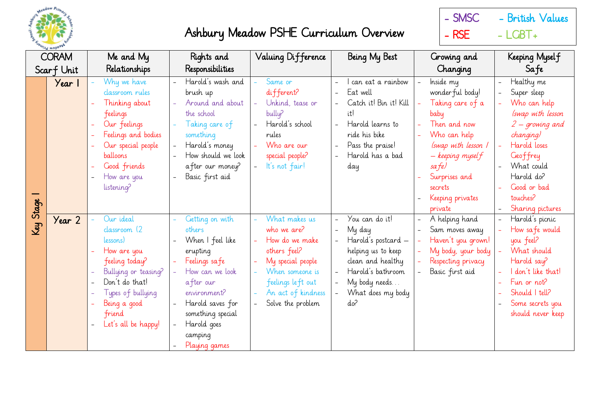

- SMSC - British Values  $-$  RSE  $-$  LGBT+

| ing mobor<br><b>CORAM</b> |        | Me and My                                                                                                                                                                              | Rights and                                                                                                                                                                                                     | Valuing Difference                                                                                                                                                     | Being My Best                                                                                                                                                | Growing and                                                                                                                                                                                                    | Keeping Myself                                                                                                                                                                                                                      |
|---------------------------|--------|----------------------------------------------------------------------------------------------------------------------------------------------------------------------------------------|----------------------------------------------------------------------------------------------------------------------------------------------------------------------------------------------------------------|------------------------------------------------------------------------------------------------------------------------------------------------------------------------|--------------------------------------------------------------------------------------------------------------------------------------------------------------|----------------------------------------------------------------------------------------------------------------------------------------------------------------------------------------------------------------|-------------------------------------------------------------------------------------------------------------------------------------------------------------------------------------------------------------------------------------|
| Scarf Unit                |        | Relationships                                                                                                                                                                          | Responsibilities                                                                                                                                                                                               |                                                                                                                                                                        |                                                                                                                                                              | Changing                                                                                                                                                                                                       | Sa fe                                                                                                                                                                                                                               |
| Stage                     | Year 1 | Why we have<br>classroom rules<br>Thinking about<br>feelings<br>Our feelings<br>Feelings and bodies<br>Our special people<br>balloons<br>Good friends<br>How are you<br>listening?     | Harold's wash and<br>brush up<br>Around and about<br>the school<br>Taking care of<br>something<br>Harold's money<br>How should we look<br>after our money?<br>Basic first aid                                  | Same or<br>different?<br>Unkind, tease or<br>bully?<br>Harold's school<br>rules<br>Who are our<br>special people?<br>It's not fair!                                    | can eat a rainbow<br>Eat well<br>Catch it! Bin it! Kill<br>itl<br>Harold learns to<br>ride his bike<br>Pass the praise!<br>Harold has a bad<br>day           | Inside my<br>wonder ful body!<br>Taking care of a<br>baby<br>Then and now<br>Who can help<br>(swap with lesson 1<br>$-$ keeping mysel $f$<br>sa fe)<br>Surprises and<br>secrets<br>Keeping privates<br>private | Healthy me<br>$\overline{\phantom{0}}$<br>Super sleep<br>Who can help<br>(swap with lesson<br>$2$ – growing and<br>changing)<br>Harold loses<br>Geoffrey<br>What could<br>Harold do?<br>Good or bad<br>touches?<br>Sharing pictures |
| Key                       | Year 2 | Our ideal<br>classroom (2<br>lessons)<br>How are you<br>feeling today?<br>Bullying or teasing?<br>Don't do that!<br>Types of bullying<br>Being a good<br>friend<br>Let's all be happy! | Getting on with<br>others<br>When I feel like<br>erupting<br>Feelings safe<br>How can we look<br>after our<br>environment?<br>Harold saves for<br>something special<br>Harold goes<br>camping<br>Playing games | What makes us<br>who we are?<br>How do we make<br>others feel?<br>My special people<br>When someone is<br>feelings left out<br>An act of kindness<br>Solve the problem | You can do it!<br>My day<br>Harold's postcard –<br>helping us to keep<br>clean and healthy<br>Harold's bathroom<br>My body needs<br>What does my body<br>do? | A helping hand<br>Sam moves away<br>Haven't you grown!<br>My body, your body<br>Respecting privacy<br>Basic first aid                                                                                          | Harold's picnic<br>How safe would<br>you feel?<br>What should<br>Harold say?<br>don't like that!<br>Fun or not?<br>Should   tell?<br>Some secrets you<br>should never keep                                                          |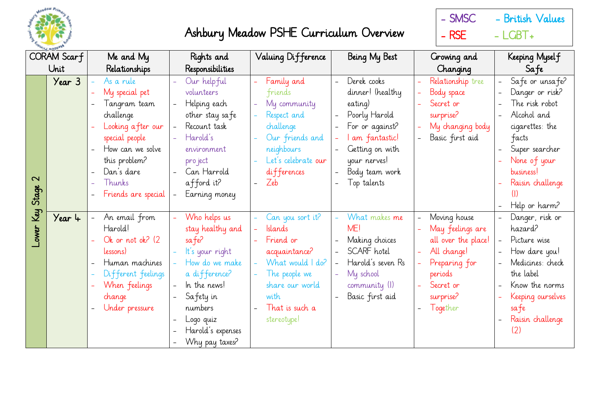

- SMSC - British Values  $-$  RSE  $-$  LGBT+

| CORAM Scarf |        | Me and My           | Rights and                | Valuing Difference  | Being My Best     | Growing and                | Keeping Myself                            |
|-------------|--------|---------------------|---------------------------|---------------------|-------------------|----------------------------|-------------------------------------------|
| Unit        |        | Relationships       | Responsibilities          |                     |                   | Changing                   | Safe                                      |
|             | Year 3 | As a rule           | Our helpful               | Family and          | Derek cooks       | Relationship tree          | Safe or unsafe?                           |
|             |        | My special pet      | volunteers                | Friends             | dinner! (healthy  | Body space                 | Danger or risk?                           |
|             |        | Tangram team        | Helping each              | My community        | eating)           | Secret or                  | The risk robot                            |
|             |        | challenge           | other stay safe           | Respect and         | Poorly Harold     | surprise?                  | Alcohol and                               |
|             |        | Looking after our   | Recount task              | challenge           | For or against?   | My changing body           | cigarettes: the                           |
|             |        | special people      | Harold's                  | Our friends and     | I am fantastic!   | Basic first aid            | facts                                     |
|             |        | How can we solve    | environment               | neighbours          | Getting on with   |                            | Super searcher                            |
|             |        | this problem?       | pro ject                  | Let's celebrate our | your nerves!      |                            | None of your                              |
| $\sim$      |        | Dan's dare          | Can Harrold               | differences         | Body team work    |                            | business!                                 |
|             |        | Thunks              | afford it?                | Zeb                 | Top talents       |                            | Raisin challenge                          |
| Stage       |        | Friends are special | Earning money<br>$\equiv$ |                     |                   |                            | $($  )                                    |
|             |        |                     |                           |                     |                   |                            | Help or harm?                             |
| Lower Key   | Year 4 | An email from       | Who helps us              | Can you sort it?    | What makes me     | Moving house               | Danger, risk or                           |
|             |        | Harold!             | stay healthy and          | <b>Islands</b>      | ME!               | May feelings are           | hazard?                                   |
|             |        | Ok or not ok? (2)   | sa fe?                    | Friend or           | Making choices    | all over the place!        | Picture wise                              |
|             |        | lessons)            | It's your right           | acquaintance?       | SCARF hotel       | All change!                | How dare you!<br>$\overline{\phantom{a}}$ |
|             |        | Human machines      | How do we make            | What would I do?    | Harold's seven Rs | Preparing for              | Medicines: check                          |
|             |        | Different feelings  | a difference?             | The people we       | My school         | periods                    | the label                                 |
|             |        | When feelings       | In the news!              | share our world     | community (I)     | Secret or                  | Know the norms                            |
|             |        | change              | Safety in                 | with                | Basic first aid   | surprise?                  | Keeping ourselves                         |
|             |        | Under pressure      | numbers                   | That is such a      |                   | Together<br>$\overline{a}$ | safe                                      |
|             |        |                     | Logo quiz                 | stereotype!         |                   |                            | Raisin challenge                          |
|             |        |                     | Harold's expenses         |                     |                   |                            | (2)                                       |
|             |        |                     | Why pay taxes?            |                     |                   |                            |                                           |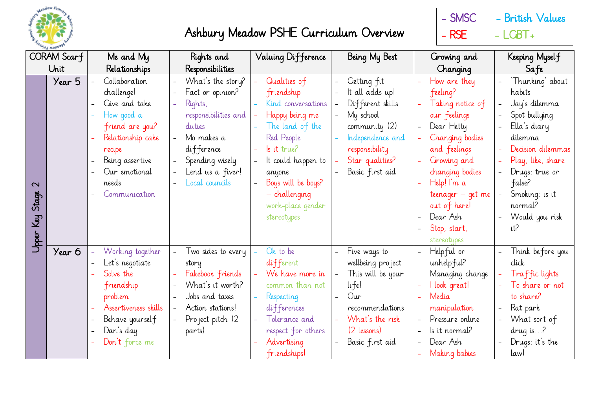

- SMSC - British Values  $-$  RSE  $-$  LGBT+

| CORAM Scarf                     |        | Me and My                                                                                                                                                                  | Rights and                                                                                                                                                                                                                  | Valuing Difference                                                                                                                                                                                                                   | Being My Best                                                                                                                                                | Growing and                                                                                                                                                                                                                                                                | Keeping Myself                                                                                                                                                                                                                  |
|---------------------------------|--------|----------------------------------------------------------------------------------------------------------------------------------------------------------------------------|-----------------------------------------------------------------------------------------------------------------------------------------------------------------------------------------------------------------------------|--------------------------------------------------------------------------------------------------------------------------------------------------------------------------------------------------------------------------------------|--------------------------------------------------------------------------------------------------------------------------------------------------------------|----------------------------------------------------------------------------------------------------------------------------------------------------------------------------------------------------------------------------------------------------------------------------|---------------------------------------------------------------------------------------------------------------------------------------------------------------------------------------------------------------------------------|
| Unit                            |        | Relationships                                                                                                                                                              | Responsibilities                                                                                                                                                                                                            |                                                                                                                                                                                                                                      |                                                                                                                                                              | Changing                                                                                                                                                                                                                                                                   | Safe                                                                                                                                                                                                                            |
| $\sim$<br>Stage<br>Key<br>Upper | Year 5 | Collaboration<br>challenge!<br>Give and take<br>How good a<br>friend are you?<br>Relationship cake<br>recipe<br>Being assertive<br>Our emotional<br>needs<br>Communication | What's the story?<br>Fact or opinion?<br>$\overline{\phantom{0}}$<br>Rights,<br>$\equiv$<br>responsibilities and<br>duties<br>Mo makes a<br>difference<br>Spending wisely<br>Lend us a fiver!<br>Local councils<br>$\equiv$ | Qualities of<br>friendship<br>Kind conversations<br>Happy being me<br>The land of the<br>Red People<br>$\vert$ s it true?<br>It could happen to<br>anyone<br>Boys will be boys?<br>- challenging<br>work-place gender<br>stereotypes | Getting fit<br>It all adds up!<br>Different skills<br>My school<br>community (2)<br>Independence and<br>responsibility<br>Star qualities?<br>Basic first aid | How are they<br>feeling?<br>Taking notice of<br>our feelings<br>Dear Hetty<br>Changing bodies<br>and feelings<br>Growing and<br>changing bodies<br>Help! I'm a<br>$\overline{\phantom{0}}$<br>teenager - get me<br>out of here!<br>Dear Ash<br>Stop, start,<br>stereotypes | 'Thunking' about<br>habits<br>Jay's dilemma<br>Spot bullying<br>Ella's diary<br>dilemma<br>Decision dilemmas<br>Play, like, share<br>$\equiv$<br>Drugs: true or<br>false?<br>Smoking: is it<br>normal?<br>Would you risk<br>it? |
|                                 | Year 6 | Working together<br>Let's negotiate<br>Solve the<br>friendship<br>problem<br>Assertiveness skills<br>Behave yourself<br>Dan's day<br>Don't force me                        | Two sides to every<br>story<br>Fakebook friends<br>What's it worth?<br>$\qquad \qquad -$<br>Jobs and taxes<br>$\equiv$<br>Action stations!<br>Pro ject pitch (2<br>$\equiv$<br>parts)                                       | Ok to be<br>different<br>We have more in<br>common than not<br>Respecting<br>differences<br>Tolerance and<br>respect for others<br>Advertising<br>friendships!                                                                       | Five ways to<br>wellbeing pro ject<br>This will be your<br>life!<br>Our<br>recommendations<br>What's the risk<br>(2 lessons)<br>Basic first aid              | Helpful or<br>unhelpful?<br>Managing change<br>I look great!<br>Media<br>manipulation<br>Pressure online<br>Is it normal?<br>Dear Ash<br>Making babies                                                                                                                     | Think before you<br>click<br>Traffic lights<br>To share or not<br>to share?<br>Rat park<br>$\overline{\phantom{0}}$<br>What sort of<br>drug is. $.2$<br>Drugs: it's the<br>law!                                                 |